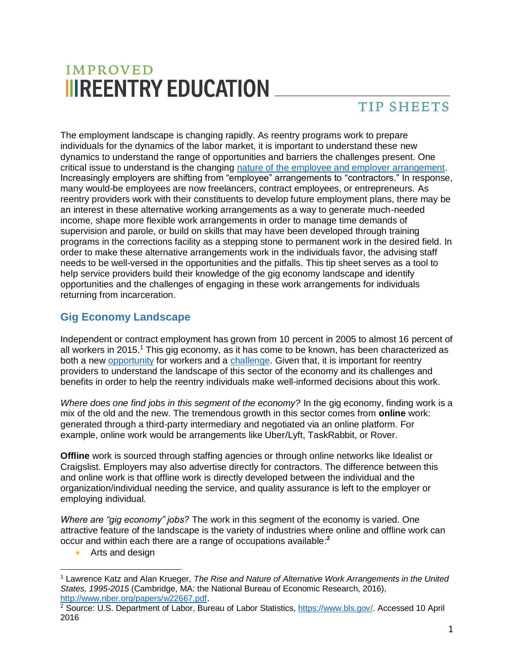# **IMPROVED IIIREENTRY EDUCATION**

## **TIP SHEETS**

The employment landscape is changing rapidly. As reentry programs work to prepare individuals for the dynamics of the labor market, it is important to understand these new dynamics to understand the range of opportunities and barriers the challenges present. One critical issue to understand is the changing [nature of the employee and employer arrangement.](https://krueger.princeton.edu/sites/default/files/akrueger/files/katz_krueger_cws_-_march_29_20165.pdf) Increasingly employers are shifting from "employee" arrangements to "contractors." In response, many would-be employees are now freelancers, contract employees, or entrepreneurs. As reentry providers work with their constituents to develop future employment plans, there may be an interest in these alternative working arrangements as a way to generate much-needed income, shape more flexible work arrangements in order to manage time demands of supervision and parole, or build on skills that may have been developed through training programs in the corrections facility as a stepping stone to permanent work in the desired field. In order to make these alternative arrangements work in the individuals favor, the advising staff needs to be well-versed in the opportunities and the pitfalls. This tip sheet serves as a tool to help service providers build their knowledge of the gig economy landscape and identify opportunities and the challenges of engaging in these work arrangements for individuals returning from incarceration.

### **Gig Economy Landscape**

Independent or contract employment has grown from 10 percent in 2005 to almost 16 percent of all workers in 2015.<sup>1</sup> This gig economy, as it has come to be known, has been characterized as both a new [opportunity](http://www.mckinsey.com/global-themes/digital-disruption/harnessing-automation-for-a-future-that-works) for workers and a [challenge.](http://www.epi.org/publication/bp341-future-of-work/) Given that, it is important for reentry providers to understand the landscape of this sector of the economy and its challenges and benefits in order to help the reentry individuals make well-informed decisions about this work.

*Where does one find jobs in this segment of the economy?* In the gig economy, finding work is a mix of the old and the new. The tremendous growth in this sector comes from **online** work: generated through a third-party intermediary and negotiated via an online platform. For example, online work would be arrangements like Uber/Lyft, TaskRabbit, or Rover.

**Offline** work is sourced through staffing agencies or through online networks like Idealist or Craigslist. Employers may also advertise directly for contractors. The difference between this and online work is that offline work is directly developed between the individual and the organization/individual needing the service, and quality assurance is left to the employer or employing individual.

*Where are "gig economy" jobs?* The work in this segment of the economy is varied. One attractive feature of the landscape is the variety of industries where online and offline work can occur and within each there are a range of occupations available:**<sup>2</sup>**

• Arts and design

 $\overline{a}$ <sup>1</sup> Lawrence Katz and Alan Krueger, *The Rise and Nature of Alternative Work Arrangements in the United States, 1995-2015* (Cambridge, MA: the National Bureau of Economic Research, 2016), [http://www.nber.org/papers/w22667.pdf.](http://www.nber.org/papers/w22667.pdf)

<sup>&</sup>lt;sup>2</sup> Source: U.S. Department of Labor, Bureau of Labor Statistics, [https://www.bls.gov/.](https://www.bls.gov/) Accessed 10 April 2016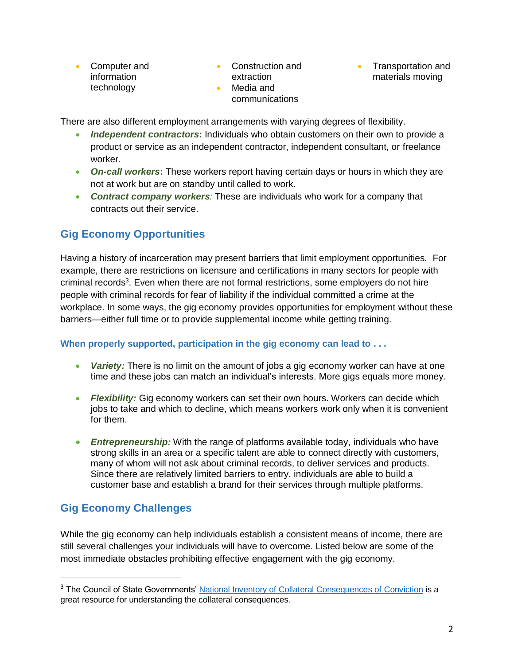- Computer and information technology
- Construction and extraction
- Media and communications
- Transportation and materials moving

There are also different employment arrangements with varying degrees of flexibility.

- *Independent contractors***:** Individuals who obtain customers on their own to provide a product or service as an independent contractor, independent consultant, or freelance worker.
- *On-call workers***:** These workers report having certain days or hours in which they are not at work but are on standby until called to work.
- *Contract company workers:* These are individuals who work for a company that contracts out their service.

### **Gig Economy Opportunities**

Having a history of incarceration may present barriers that limit employment opportunities. For example, there are restrictions on licensure and certifications in many sectors for people with criminal records<sup>3</sup>. Even when there are not formal restrictions, some employers do not hire people with criminal records for fear of liability if the individual committed a crime at the workplace. In some ways, the gig economy provides opportunities for employment without these barriers—either full time or to provide supplemental income while getting training.

#### **When properly supported, participation in the gig economy can lead to . . .**

- *Variety:* There is no limit on the amount of jobs a gig economy worker can have at one time and these jobs can match an individual's interests. More gigs equals more money.
- *Flexibility:* Gig economy workers can set their own hours. Workers can decide which jobs to take and which to decline, which means workers work only when it is convenient for them.
- *Entrepreneurship:* With the range of platforms available today, individuals who have strong skills in an area or a specific talent are able to connect directly with customers, many of whom will not ask about criminal records, to deliver services and products. Since there are relatively limited barriers to entry, individuals are able to build a customer base and establish a brand for their services through multiple platforms.

### **Gig Economy Challenges**

 $\overline{a}$ 

While the gig economy can help individuals establish a consistent means of income, there are still several challenges your individuals will have to overcome. Listed below are some of the most immediate obstacles prohibiting effective engagement with the gig economy.

<sup>&</sup>lt;sup>3</sup> The Council of State Governments' [National Inventory of Collateral Consequences of Conviction](https://niccc.csgjusticecenter.org/) is a great resource for understanding the collateral consequences.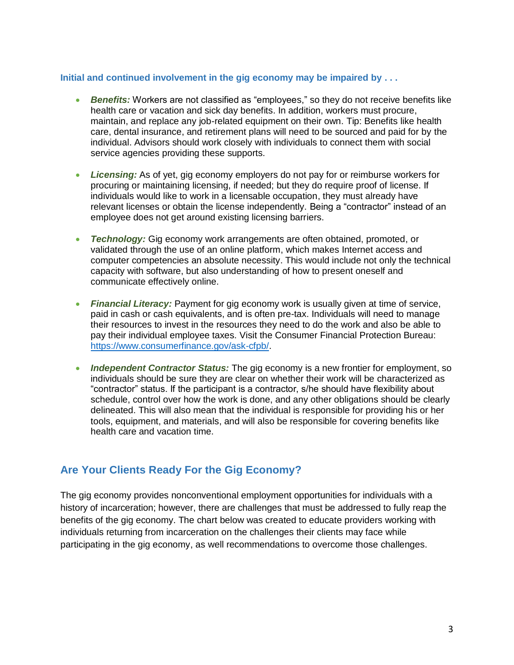#### **Initial and continued involvement in the gig economy may be impaired by . . .**

- *Benefits:* Workers are not classified as "employees," so they do not receive benefits like health care or vacation and sick day benefits. In addition, workers must procure, maintain, and replace any job-related equipment on their own. Tip: Benefits like health care, dental insurance, and retirement plans will need to be sourced and paid for by the individual. Advisors should work closely with individuals to connect them with social service agencies providing these supports.
- *Licensing:* As of yet, gig economy employers do not pay for or reimburse workers for procuring or maintaining licensing, if needed; but they do require proof of license. If individuals would like to work in a licensable occupation, they must already have relevant licenses or obtain the license independently. Being a "contractor" instead of an employee does not get around existing licensing barriers.
- *Technology:* Gig economy work arrangements are often obtained, promoted, or validated through the use of an online platform, which makes Internet access and computer competencies an absolute necessity. This would include not only the technical capacity with software, but also understanding of how to present oneself and communicate effectively online.
- *Financial Literacy:* Payment for gig economy work is usually given at time of service, paid in cash or cash equivalents, and is often pre-tax. Individuals will need to manage their resources to invest in the resources they need to do the work and also be able to pay their individual employee taxes. Visit the Consumer Financial Protection Bureau: [https://www.consumerfinance.gov/ask-cfpb/.](https://www.consumerfinance.gov/ask-cfpb/)
- *Independent Contractor Status:* The gig economy is a new frontier for employment, so individuals should be sure they are clear on whether their work will be characterized as "contractor" status. If the participant is a contractor, s/he should have flexibility about schedule, control over how the work is done, and any other obligations should be clearly delineated. This will also mean that the individual is responsible for providing his or her tools, equipment, and materials, and will also be responsible for covering benefits like health care and vacation time.

### **Are Your Clients Ready For the Gig Economy?**

The gig economy provides nonconventional employment opportunities for individuals with a history of incarceration; however, there are challenges that must be addressed to fully reap the benefits of the gig economy. The chart below was created to educate providers working with individuals returning from incarceration on the challenges their clients may face while participating in the gig economy, as well recommendations to overcome those challenges.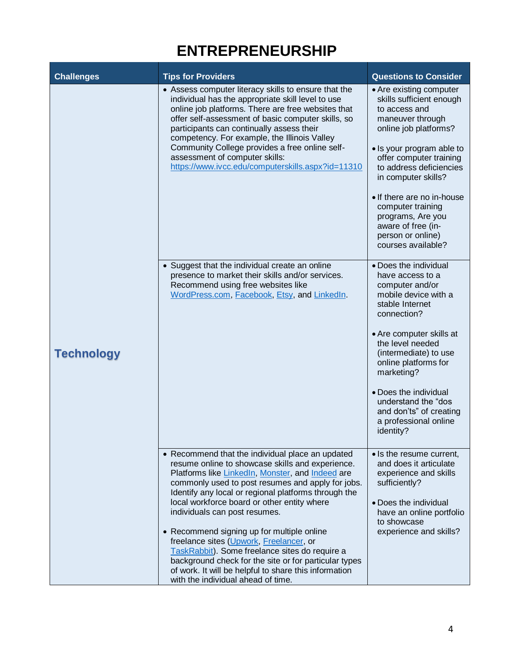## **ENTREPRENEURSHIP**

| <b>Challenges</b> | <b>Tips for Providers</b>                                                                                                                                                                                                                                                                                                                                                                                                                                                                                                                                                                                                                                | <b>Questions to Consider</b>                                                                                                                                                                                                                                                                                                                                         |
|-------------------|----------------------------------------------------------------------------------------------------------------------------------------------------------------------------------------------------------------------------------------------------------------------------------------------------------------------------------------------------------------------------------------------------------------------------------------------------------------------------------------------------------------------------------------------------------------------------------------------------------------------------------------------------------|----------------------------------------------------------------------------------------------------------------------------------------------------------------------------------------------------------------------------------------------------------------------------------------------------------------------------------------------------------------------|
| <b>Technology</b> | • Assess computer literacy skills to ensure that the<br>individual has the appropriate skill level to use<br>online job platforms. There are free websites that<br>offer self-assessment of basic computer skills, so<br>participants can continually assess their<br>competency. For example, the Illinois Valley<br>Community College provides a free online self-<br>assessment of computer skills:<br>https://www.ivcc.edu/computerskills.aspx?id=11310                                                                                                                                                                                              | • Are existing computer<br>skills sufficient enough<br>to access and<br>maneuver through<br>online job platforms?<br>• Is your program able to<br>offer computer training<br>to address deficiencies<br>in computer skills?<br>• If there are no in-house<br>computer training<br>programs, Are you<br>aware of free (in-<br>person or online)<br>courses available? |
|                   | • Suggest that the individual create an online<br>presence to market their skills and/or services.<br>Recommend using free websites like<br>WordPress.com, Facebook, Etsy, and LinkedIn.                                                                                                                                                                                                                                                                                                                                                                                                                                                                 | • Does the individual<br>have access to a<br>computer and/or<br>mobile device with a<br>stable Internet<br>connection?<br>• Are computer skills at<br>the level needed<br>(intermediate) to use<br>online platforms for<br>marketing?<br>• Does the individual<br>understand the "dos<br>and don'ts" of creating<br>a professional online<br>identity?               |
|                   | • Recommend that the individual place an updated<br>resume online to showcase skills and experience.<br>Platforms like Linkedln, Monster, and Indeed are<br>commonly used to post resumes and apply for jobs.<br>Identify any local or regional platforms through the<br>local workforce board or other entity where<br>individuals can post resumes.<br>• Recommend signing up for multiple online<br>freelance sites (Upwork, Freelancer, or<br>TaskRabbit). Some freelance sites do require a<br>background check for the site or for particular types<br>of work. It will be helpful to share this information<br>with the individual ahead of time. | • Is the resume current,<br>and does it articulate<br>experience and skills<br>sufficiently?<br>• Does the individual<br>have an online portfolio<br>to showcase<br>experience and skills?                                                                                                                                                                           |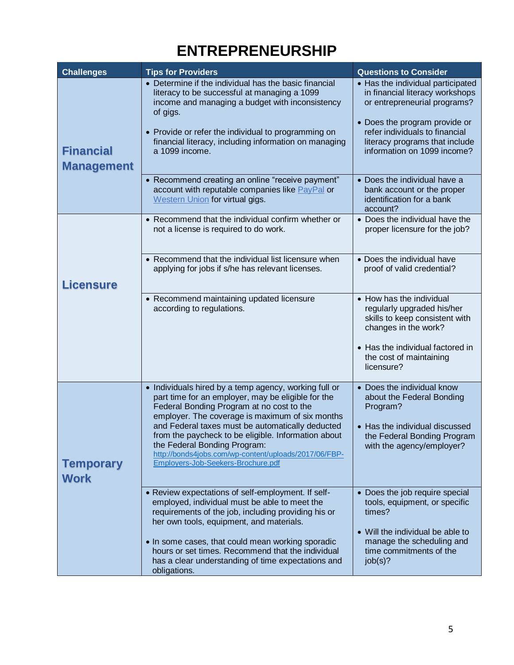## **ENTREPRENEURSHIP**

| <b>Challenges</b>                     | <b>Tips for Providers</b>                                                                                                                                                                                                                                                                                                                                                                                                                             | <b>Questions to Consider</b>                                                                                                                                                                                                             |
|---------------------------------------|-------------------------------------------------------------------------------------------------------------------------------------------------------------------------------------------------------------------------------------------------------------------------------------------------------------------------------------------------------------------------------------------------------------------------------------------------------|------------------------------------------------------------------------------------------------------------------------------------------------------------------------------------------------------------------------------------------|
| <b>Financial</b><br><b>Management</b> | • Determine if the individual has the basic financial<br>literacy to be successful at managing a 1099<br>income and managing a budget with inconsistency<br>of gigs.<br>• Provide or refer the individual to programming on<br>financial literacy, including information on managing<br>a 1099 income.                                                                                                                                                | • Has the individual participated<br>in financial literacy workshops<br>or entrepreneurial programs?<br>• Does the program provide or<br>refer individuals to financial<br>literacy programs that include<br>information on 1099 income? |
|                                       | • Recommend creating an online "receive payment"<br>account with reputable companies like PayPal or<br>Western Union for virtual gigs.                                                                                                                                                                                                                                                                                                                | • Does the individual have a<br>bank account or the proper<br>identification for a bank<br>account?                                                                                                                                      |
| <b>Licensure</b>                      | • Recommend that the individual confirm whether or<br>not a license is required to do work.                                                                                                                                                                                                                                                                                                                                                           | • Does the individual have the<br>proper licensure for the job?                                                                                                                                                                          |
|                                       | • Recommend that the individual list licensure when<br>applying for jobs if s/he has relevant licenses.                                                                                                                                                                                                                                                                                                                                               | • Does the individual have<br>proof of valid credential?                                                                                                                                                                                 |
|                                       | • Recommend maintaining updated licensure<br>according to regulations.                                                                                                                                                                                                                                                                                                                                                                                | • How has the individual<br>regularly upgraded his/her<br>skills to keep consistent with<br>changes in the work?<br>• Has the individual factored in<br>the cost of maintaining<br>licensure?                                            |
| <b>Temporary</b><br><b>Work</b>       | • Individuals hired by a temp agency, working full or<br>part time for an employer, may be eligible for the<br>Federal Bonding Program at no cost to the<br>employer. The coverage is maximum of six months<br>and Federal taxes must be automatically deducted<br>from the paycheck to be eligible. Information about<br>the Federal Bonding Program:<br>http://bonds4jobs.com/wp-content/uploads/2017/06/FBP-<br>Employers-Job-Seekers-Brochure.pdf | • Does the individual know<br>about the Federal Bonding<br>Program?<br>• Has the individual discussed<br>the Federal Bonding Program<br>with the agency/employer?                                                                        |
|                                       | • Review expectations of self-employment. If self-<br>employed, individual must be able to meet the<br>requirements of the job, including providing his or<br>her own tools, equipment, and materials.<br>• In some cases, that could mean working sporadic<br>hours or set times. Recommend that the individual<br>has a clear understanding of time expectations and<br>obligations.                                                                | • Does the job require special<br>tools, equipment, or specific<br>times?<br>• Will the individual be able to<br>manage the scheduling and<br>time commitments of the<br>job(s)?                                                         |